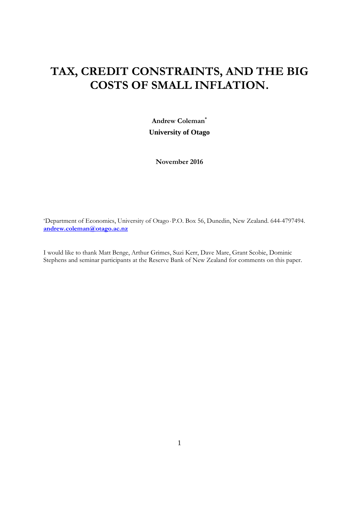# **TAX, CREDIT CONSTRAINTS, AND THE BIG COSTS OF SMALL INFLATION.**

**Andrew Coleman\* University of Otago**

**November 2016**

\*Department of Economics, University of Otago , P.O. Box 56, Dunedin, New Zealand. 644-4797494. **[andrew.coleman@otago.ac.nz](mailto:andrew.coleman@otago.ac.nz)** 

I would like to thank Matt Benge, Arthur Grimes, Suzi Kerr, Dave Mare, Grant Scobie, Dominic Stephens and seminar participants at the Reserve Bank of New Zealand for comments on this paper.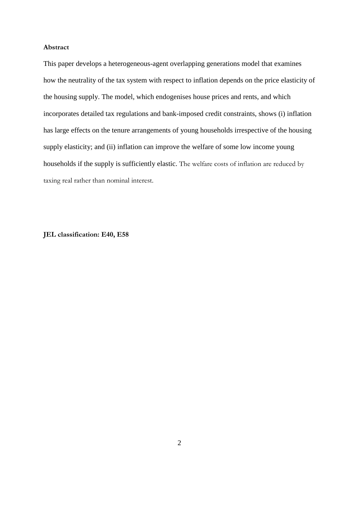#### **Abstract**

This paper develops a heterogeneous-agent overlapping generations model that examines how the neutrality of the tax system with respect to inflation depends on the price elasticity of the housing supply. The model, which endogenises house prices and rents, and which incorporates detailed tax regulations and bank-imposed credit constraints, shows (i) inflation has large effects on the tenure arrangements of young households irrespective of the housing supply elasticity; and (ii) inflation can improve the welfare of some low income young households if the supply is sufficiently elastic. The welfare costs of inflation are reduced by taxing real rather than nominal interest.

**JEL classification: E40, E58**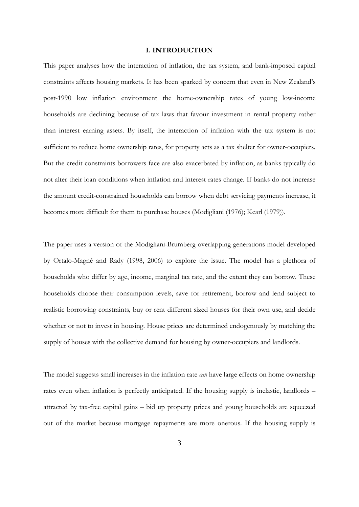#### **I. INTRODUCTION**

This paper analyses how the interaction of inflation, the tax system, and bank-imposed capital constraints affects housing markets. It has been sparked by concern that even in New Zealand's post-1990 low inflation environment the home-ownership rates of young low-income households are declining because of tax laws that favour investment in rental property rather than interest earning assets. By itself, the interaction of inflation with the tax system is not sufficient to reduce home ownership rates, for property acts as a tax shelter for owner-occupiers. But the credit constraints borrowers face are also exacerbated by inflation, as banks typically do not alter their loan conditions when inflation and interest rates change. If banks do not increase the amount credit-constrained households can borrow when debt servicing payments increase, it becomes more difficult for them to purchase houses (Modigliani (1976); Kearl (1979)).

The paper uses a version of the Modigliani-Brumberg overlapping generations model developed by Ortalo-Magné and Rady (1998, 2006) to explore the issue. The model has a plethora of households who differ by age, income, marginal tax rate, and the extent they can borrow. These households choose their consumption levels, save for retirement, borrow and lend subject to realistic borrowing constraints, buy or rent different sized houses for their own use, and decide whether or not to invest in housing. House prices are determined endogenously by matching the supply of houses with the collective demand for housing by owner-occupiers and landlords.

The model suggests small increases in the inflation rate *can* have large effects on home ownership rates even when inflation is perfectly anticipated. If the housing supply is inelastic, landlords – attracted by tax-free capital gains – bid up property prices and young households are squeezed out of the market because mortgage repayments are more onerous. If the housing supply is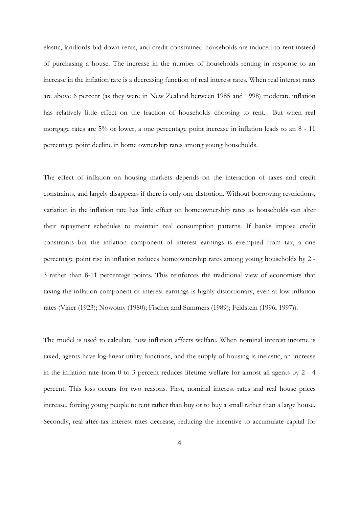elastic, landlords bid down rents, and credit constrained households are induced to rent instead of purchasing a house. The increase in the number of households renting in response to an increase in the inflation rate is a decreasing function of real interest rates. When real interest rates are above 6 percent (as they were in New Zealand between 1985 and 1998) moderate inflation has relatively little effect on the fraction of households choosing to rent. But when real mortgage rates are 5% or lower, a one percentage point increase in inflation leads to an 8 - 11 percentage point decline in home ownership rates among young households.

The effect of inflation on housing markets depends on the interaction of taxes and credit constraints, and largely disappears if there is only one distortion. Without borrowing restrictions, variation in the inflation rate has little effect on homeownership rates as households can alter their repayment schedules to maintain real consumption patterns. If banks impose credit constraints but the inflation component of interest earnings is exempted from tax, a one percentage point rise in inflation reduces homeownership rates among young households by 2 - 3 rather than 8-11 percentage points. This reinforces the traditional view of economists that taxing the inflation component of interest earnings is highly distortionary, even at low inflation rates (Viner (1923); Nowotny (1980); Fischer and Summers (1989); Feldstein (1996, 1997)).

The model is used to calculate how inflation affects welfare. When nominal interest income is taxed, agents have log-linear utility functions, and the supply of housing is inelastic, an increase in the inflation rate from 0 to 3 percent reduces lifetime welfare for almost all agents by 2 - 4 percent. This loss occurs for two reasons. First, nominal interest rates and real house prices increase, forcing young people to rent rather than buy or to buy a small rather than a large house. Secondly, real after-tax interest rates decrease, reducing the incentive to accumulate capital for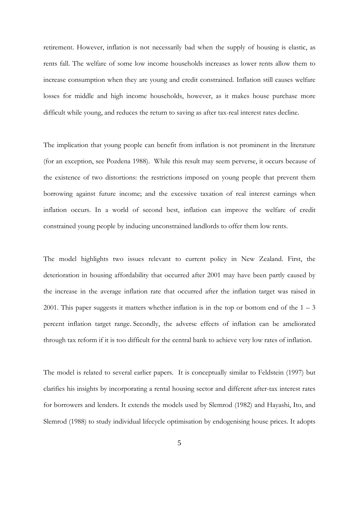retirement. However, inflation is not necessarily bad when the supply of housing is elastic, as rents fall. The welfare of some low income households increases as lower rents allow them to increase consumption when they are young and credit constrained. Inflation still causes welfare losses for middle and high income households, however, as it makes house purchase more difficult while young, and reduces the return to saving as after tax-real interest rates decline.

The implication that young people can benefit from inflation is not prominent in the literature (for an exception, see Pozdena 1988). While this result may seem perverse, it occurs because of the existence of two distortions: the restrictions imposed on young people that prevent them borrowing against future income; and the excessive taxation of real interest earnings when inflation occurs. In a world of second best, inflation can improve the welfare of credit constrained young people by inducing unconstrained landlords to offer them low rents.

The model highlights two issues relevant to current policy in New Zealand. First, the deterioration in housing affordability that occurred after 2001 may have been partly caused by the increase in the average inflation rate that occurred after the inflation target was raised in 2001. This paper suggests it matters whether inflation is in the top or bottom end of the  $1 - 3$ percent inflation target range. Secondly, the adverse effects of inflation can be ameliorated through tax reform if it is too difficult for the central bank to achieve very low rates of inflation.

The model is related to several earlier papers. It is conceptually similar to Feldstein (1997) but clarifies his insights by incorporating a rental housing sector and different after-tax interest rates for borrowers and lenders. It extends the models used by Slemrod (1982) and Hayashi, Ito, and Slemrod (1988) to study individual lifecycle optimisation by endogenising house prices. It adopts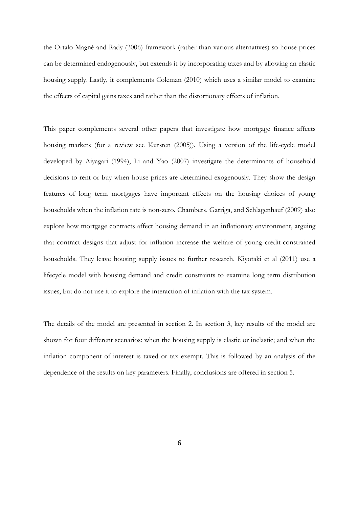the Ortalo-Magné and Rady (2006) framework (rather than various alternatives) so house prices can be determined endogenously, but extends it by incorporating taxes and by allowing an elastic housing supply. Lastly, it complements Coleman (2010) which uses a similar model to examine the effects of capital gains taxes and rather than the distortionary effects of inflation.

This paper complements several other papers that investigate how mortgage finance affects housing markets (for a review see Kursten (2005)). Using a version of the life-cycle model developed by Aiyagari (1994), Li and Yao (2007) investigate the determinants of household decisions to rent or buy when house prices are determined exogenously. They show the design features of long term mortgages have important effects on the housing choices of young households when the inflation rate is non-zero. Chambers, Garriga, and Schlagenhauf (2009) also explore how mortgage contracts affect housing demand in an inflationary environment, arguing that contract designs that adjust for inflation increase the welfare of young credit-constrained households. They leave housing supply issues to further research. Kiyotaki et al (2011) use a lifecycle model with housing demand and credit constraints to examine long term distribution issues, but do not use it to explore the interaction of inflation with the tax system.

The details of the model are presented in section 2. In section 3, key results of the model are shown for four different scenarios: when the housing supply is elastic or inelastic; and when the inflation component of interest is taxed or tax exempt. This is followed by an analysis of the dependence of the results on key parameters. Finally, conclusions are offered in section 5.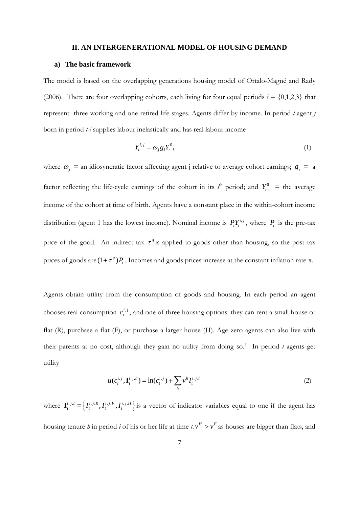#### **II. AN INTERGENERATIONAL MODEL OF HOUSING DEMAND**

#### **a) The basic framework**

The model is based on the overlapping generations housing model of Ortalo-Magné and Rady (2006). There are four overlapping cohorts, each living for four equal periods  $i = \{0,1,2,3\}$  that represent three working and one retired life stages. Agents differ by income. In period *t* agent *j* born in period *t-i* supplies labour inelastically and has real labour income

$$
Y_t^{i,j} = \omega_j g_i Y_{t-i}^0 \tag{1}
$$

where  $\omega_j$  = an idiosyncratic factor affecting agent j relative to average cohort earnings;  $g_i$  = a factor reflecting the life-cycle earnings of the cohort in its  $i^{\text{th}}$  period; and  $Y_{t-i}^0$  = the average income of the cohort at time of birth. Agents have a constant place in the within-cohort income distribution (agent 1 has the lowest income). Nominal income is  $P_t Y_t^{i,j}$ , where  $P_t$  is the pre-tax price of the good. An indirect tax  $\tau^s$  is applied to goods other than housing, so the post tax prices of goods are  $(1 + \tau^s)P_t$ . Incomes and goods prices increase at the constant inflation rate π.

Agents obtain utility from the consumption of goods and housing. In each period an agent chooses real consumption  $c_i^{i,j}$ , and one of three housing options: they can rent a small house or flat (R), purchase a flat (F), or purchase a larger house (H). Age zero agents can also live with their parents at no cost, although they gain no utility from doing so.<sup>[1](#page-35-0)</sup> In period  $t$  agents get utility

$$
u(c_t^{i,j}, \mathbf{I}_t^{i,j,h}) = \ln(c_t^{i,j}) + \sum_h v^h I_t^{i,j,h}
$$
 (2)

where  $\mathbf{I}_{t}^{i,j,h} = \left\{ I_{t}^{i,j,R}, I_{t}^{i,j,F}, I_{t}^{i,j,H} \right\}$  is a vector of indicator variables equal to one if the agent has housing tenure *h* in period *i* of his or her life at time *t*.  $v^H > v^F$  as houses are bigger than flats, and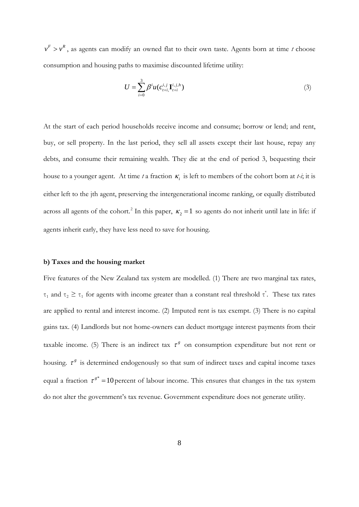$v<sup>F</sup> > v<sup>R</sup>$ , as agents can modify an owned flat to their own taste. Agents born at time *t* choose consumption and housing paths to maximise discounted lifetime utility:

$$
U = \sum_{i=0}^{3} \beta^{i} u(c_{t+i}^{i,j}, \mathbf{I}_{t+i}^{i,j,h})
$$
 (3)

At the start of each period households receive income and consume; borrow or lend; and rent, buy, or sell property. In the last period, they sell all assets except their last house, repay any debts, and consume their remaining wealth. They die at the end of period 3, bequesting their house to a younger agent. At time *t* a fraction <sup>κ</sup>*<sup>i</sup>* is left to members of the cohort born at *t-i*; it is either left to the jth agent, preserving the intergenerational income ranking, or equally distributed across all agents of the cohort.<sup>[2](#page-36-0)</sup> In this paper,  $\kappa_2 = 1$  so agents do not inherit until late in life: if agents inherit early, they have less need to save for housing.

#### **b) Taxes and the housing market**

Five features of the New Zealand tax system are modelled. (1) There are two marginal tax rates,  $\tau_1$  and  $\tau_2 \geq \tau_1$  for agents with income greater than a constant real threshold  $\tau^*$ . These tax rates are applied to rental and interest income. (2) Imputed rent is tax exempt. (3) There is no capital gains tax. (4) Landlords but not home-owners can deduct mortgage interest payments from their taxable income. (5) There is an indirect tax  $\tau^s$  on consumption expenditure but not rent or housing.  $\tau^g$  is determined endogenously so that sum of indirect taxes and capital income taxes equal a fraction  $\tau^{s^*} = 10$  percent of labour income. This ensures that changes in the tax system do not alter the government's tax revenue. Government expenditure does not generate utility.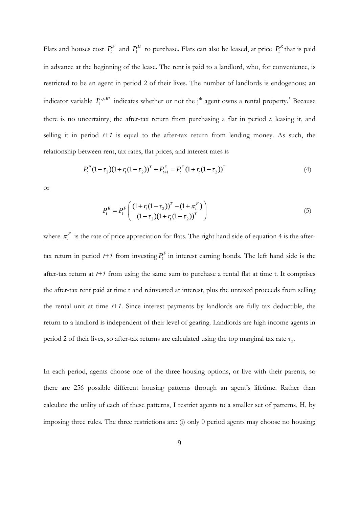Flats and houses cost  $P_t^F$  and  $P_t^H$  to purchase. Flats can also be leased, at price  $P_t^R$  that is paid in advance at the beginning of the lease. The rent is paid to a landlord, who, for convenience, is restricted to be an agent in period 2 of their lives. The number of landlords is endogenous; an indicator variable  $I_t^{i,j,R^*}$  indicates whether or not the j<sup>th</sup> agent owns a rental property.<sup>[3](#page-36-1)</sup> Because there is no uncertainty, the after-tax return from purchasing a flat in period *t*, leasing it, and selling it in period  $t+1$  is equal to the after-tax return from lending money. As such, the relationship between rent, tax rates, flat prices, and interest rates is

$$
P_t^R (1 - \tau_2)(1 + r_t(1 - \tau_2))^T + P_{t+1}^F = P_t^F (1 + r_t(1 - \tau_2))^T
$$
\n(4)

or

$$
P_t^R = P_t^F \left( \frac{\left(1 + r_t(1 - \tau_2)\right)^T - \left(1 + \pi_t^F\right)}{\left(1 - \tau_2\right)\left(1 + r_t(1 - \tau_2)\right)^T} \right) \tag{5}
$$

where  $\pi_t^F$  is the rate of price appreciation for flats. The right hand side of equation 4 is the aftertax return in period  $t+1$  from investing  $P_t^F$  in interest earning bonds. The left hand side is the after-tax return at *t+1* from using the same sum to purchase a rental flat at time t. It comprises the after-tax rent paid at time t and reinvested at interest, plus the untaxed proceeds from selling the rental unit at time  $t+1$ . Since interest payments by landlords are fully tax deductible, the return to a landlord is independent of their level of gearing. Landlords are high income agents in period 2 of their lives, so after-tax returns are calculated using the top marginal tax rate  $\tau_2$ .

In each period, agents choose one of the three housing options, or live with their parents, so there are 256 possible different housing patterns through an agent's lifetime. Rather than calculate the utility of each of these patterns, I restrict agents to a smaller set of patterns, Η, by imposing three rules. The three restrictions are: (i) only 0 period agents may choose no housing;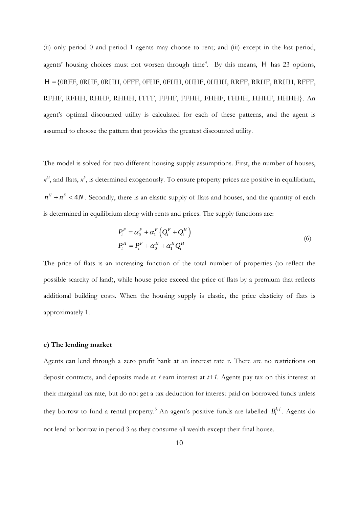(ii) only period 0 and period 1 agents may choose to rent; and (iii) except in the last period, agents' housing choices must not worsen through time<sup>[4](#page-36-2)</sup>. By this means, H has 23 options, H ={0RFF, 0RHF, 0RHH, 0FFF, 0FHF, 0FHH, 0HHF, 0HHH, RRFF, RRHF, RRHH, RFFF, RFHF, RFHH, RHHF, RHHH, FFFF, FFHF, FFHH, FHHF, FHHH, HHHF, HHHH}. An agent's optimal discounted utility is calculated for each of these patterns, and the agent is assumed to choose the pattern that provides the greatest discounted utility.

The model is solved for two different housing supply assumptions. First, the number of houses,  $n<sup>H</sup>$ , and flats,  $n<sup>F</sup>$ , is determined exogenously. To ensure property prices are positive in equilibrium,  $n<sup>H</sup> + n<sup>F</sup> < 4N$ . Secondly, there is an elastic supply of flats and houses, and the quantity of each is determined in equilibrium along with rents and prices. The supply functions are:

$$
P_t^F = \alpha_0^F + \alpha_1^F \left(Q_t^F + Q_t^H\right)
$$
  
\n
$$
P_t^H = P_t^F + \alpha_0^H + \alpha_1^H Q_t^H
$$
\n(6)

The price of flats is an increasing function of the total number of properties (to reflect the possible scarcity of land), while house price exceed the price of flats by a premium that reflects additional building costs. When the housing supply is elastic, the price elasticity of flats is approximately 1.

#### **c) The lending market**

Agents can lend through a zero profit bank at an interest rate r. There are no restrictions on deposit contracts, and deposits made at *t* earn interest at *t+1*. Agents pay tax on this interest at their marginal tax rate, but do not get a tax deduction for interest paid on borrowed funds unless they borrow to fund a rental property.<sup>[5](#page-36-3)</sup> An agent's positive funds are labelled  $B_t^{i,j}$ . Agents do not lend or borrow in period 3 as they consume all wealth except their final house.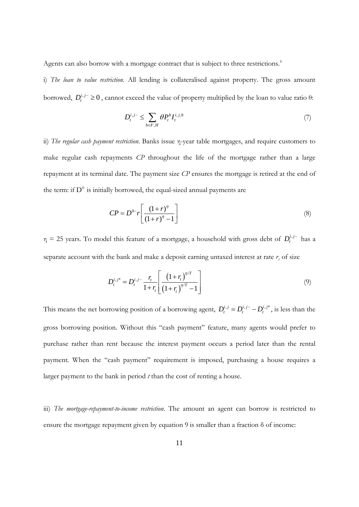Agents can also borrow with a mortgage contract that is subject to three restrictions.<sup>[6](#page-36-4)</sup>

i) *The loan to value restriction.* All lending is collateralised against property. The gross amount borrowed,  $D_t^{i,j-} \ge 0$ , cannot exceed the value of property multiplied by the loan to value ratio  $\theta$ :

$$
D_t^{i,j-} \le \sum_{h \in F, H} \theta P_t^h I_t^{i,j,h} \tag{7}
$$

ii) *The regular cash payment restriction*. Banks issue η-year table mortgages, and require customers to make regular cash repayments *CP* throughout the life of the mortgage rather than a large repayment at its terminal date. The payment size *CP* ensures the mortgage is retired at the end of the term: if  $D^0$  is initially borrowed, the equal-sized annual payments are

$$
CP = D^{0-}r \left[ \frac{(1+r)^{\eta}}{(1+r)^{\eta}-1} \right]
$$
 (8)

 $\eta = 25$  years. To model this feature of a mortgage, a household with gross debt of  $D_t^{i,j-}$  has a separate account with the bank and make a deposit earning untaxed interest at rate  $r<sub>t</sub>$  of size

$$
D_t^{i,j^*} = D_t^{i,j-} \frac{r_t}{1+r_t} \left[ \frac{\left(1+r_t\right)^{\eta/T}}{\left(1+r_t\right)^{\eta/T} - 1} \right] \tag{9}
$$

This means the net borrowing position of a borrowing agent,  $D_t^{i,j} = D_t^{i,j-} - D_t^{i,j*}$ , is less than the gross borrowing position. Without this "cash payment" feature, many agents would prefer to purchase rather than rent because the interest payment occurs a period later than the rental payment. When the "cash payment" requirement is imposed, purchasing a house requires a larger payment to the bank in period *t* than the cost of renting a house.

iii) *The mortgage-repayment-to-income restriction*. The amount an agent can borrow is restricted to ensure the mortgage repayment given by equation 9 is smaller than a fraction δ of income: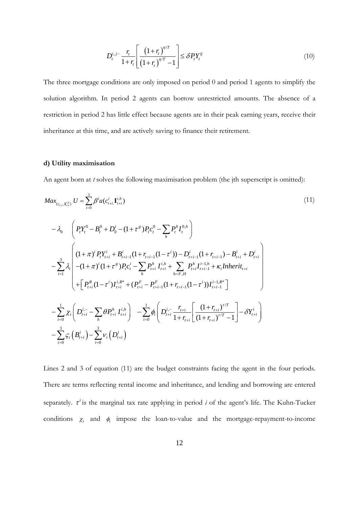$$
D_t^{i,j} - \frac{r_t}{1 + r_t} \left[ \frac{\left(1 + r_t\right)^{\eta/T}}{\left(1 + r_t\right)^{\eta/T} - 1} \right] \le \delta P_t Y_t^{ij}
$$
\n(10)

The three mortgage conditions are only imposed on period 0 and period 1 agents to simplify the solution algorithm. In period 2 agents can borrow unrestricted amounts. The absence of a restriction in period 2 has little effect because agents are in their peak earning years, receive their inheritance at this time, and are actively saving to finance their retirement.

#### **d) Utility maximisation**

An agent born at *t* solves the following maximisation problem (the jth superscript is omitted):

$$
Max_{\{c_{i+i}, \mathbf{I}_{i\neq i}^{j,h}\}} U = \sum_{i=0}^{3} \beta^{i} u(c_{i+i,\mathbf{I}_{i\neq i}}^{i,h})
$$
\n
$$
- \lambda_{0} \left( P_{i}Y_{i}^{0} - B_{i}^{0} + D_{0}^{t} - (1 + \tau^{g}) P_{i}c_{i}^{0} - \sum_{h} P_{i}^{h}I_{i}^{0,h} \right)
$$
\n
$$
- \sum_{i=1}^{3} \lambda_{i} \left( (1 + \pi)^{i} P_{i}Y_{i+i}^{i} + B_{i+i-1}^{i} (1 + r_{i+i-1} (1 - \tau^{i})) - D_{i+i-1}^{i} (1 + r_{i+i-1}) - B_{i+i}^{i} + D_{i+i}^{i} \right)
$$
\n
$$
- \sum_{i=1}^{3} \lambda_{i} \left( -(1 + \pi)^{i} (1 + \tau^{g}) P_{i}c_{i}^{i} - \sum_{h} P_{i+1}^{h} I_{i+1}^{i,h} + \sum_{h=F,H} P_{i+1}^{h} I_{i+1-h}^{i-1} + \kappa_{i} In herit_{i+1} \right)
$$
\n
$$
+ \left[ P_{i+1}^{R} (1 - \tau^{i}) I_{i+1}^{i,R^{*}} + (P_{i+1}^{F} - P_{i+1}^{F} (1 + r_{i+1-1} (1 - \tau^{i})) I_{i+1}^{i-1,R^{*}} \right]
$$
\n
$$
- \sum_{i=0}^{1} \chi_{i} \left( D_{i+i}^{i-} - \sum_{h} \theta P_{i+1}^{h} I_{i+1}^{i,h} \right) - \sum_{i=0}^{1} \phi_{i} \left( D_{i+1}^{i-} \frac{r_{i+1}}{1 + r_{i+1}} \left[ \frac{(1 + r_{i+1})^{\tau/T}}{(1 + r_{i+1})^{\tau/T} - 1} \right] - \delta Y_{i+1}^{i} \right)
$$
\n
$$
- \sum_{i=0}^{3} \varsigma_{i} (B_{i+1}^{i}) - \sum_{i=0}^{3} v_{i} (D_{i+1}^{i})
$$
\n(11)

Lines 2 and 3 of equation (11) are the budget constraints facing the agent in the four periods. There are terms reflecting rental income and inheritance, and lending and borrowing are entered separately.  $\tau^i$  is the marginal tax rate applying in period *i* of the agent's life. The Kuhn-Tucker conditions  $\chi_i$  and  $\phi_i$  impose the loan-to-value and the mortgage-repayment-to-income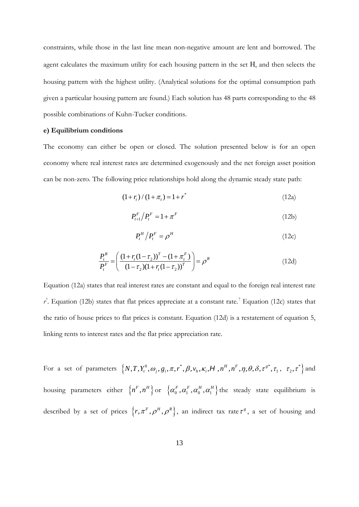constraints, while those in the last line mean non-negative amount are lent and borrowed. The agent calculates the maximum utility for each housing pattern in the set Η, and then selects the housing pattern with the highest utility. (Analytical solutions for the optimal consumption path given a particular housing pattern are found.) Each solution has 48 parts corresponding to the 48 possible combinations of Kuhn-Tucker conditions.

#### **e) Equilibrium conditions**

The economy can either be open or closed. The solution presented below is for an open economy where real interest rates are determined exogenously and the net foreign asset position can be non-zero. The following price relationships hold along the dynamic steady state path:

$$
(1 + rt)/(1 + \pit) = 1 + r*
$$
 (12a)

$$
P_{t+1}^F / P_t^F = 1 + \pi^F \tag{12b}
$$

$$
P_t^H \left/ P_t^F = \rho^H \tag{12c}
$$

$$
\frac{P_t^R}{P_t^F} = \left(\frac{(1 + r_t(1 - \tau_2))^T - (1 + \pi_t^F)}{(1 - \tau_2)(1 + r_t(1 - \tau_2))^T}\right) = \rho^R
$$
\n(12d)

Equation (12a) states that real interest rates are constant and equal to the foreign real interest rate *r \** . Equation (12b) states that flat prices appreciate at a constant rate.[7](#page-36-5) Equation (12c) states that the ratio of house prices to flat prices is constant. Equation (12d) is a restatement of equation 5, linking rents to interest rates and the flat price appreciation rate.

For a set of parameters  $\{N, T, Y_t^0, \omega_j, g_i, \pi, r^*, \beta, v_h, \kappa_i, H, n^H, n^F, \eta, \theta, \delta, \tau^{g^*}, \tau_1, \tau_2, \tau^*\}$  and housing parameters either  $\{n^F, n^H\}$  or  $\{\alpha^F_0, \alpha^F_1, \alpha^H_0, \alpha^{H}_1\}$  the steady state equilibrium is described by a set of prices  $\{r, \pi^F, \rho^H, \rho^R\}$ , an indirect tax rate  $\tau^g$ , a set of housing and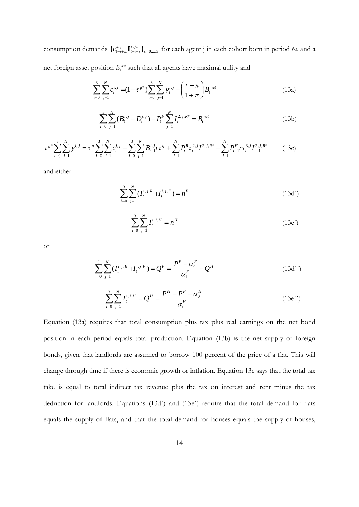consumption demands  $\{c_{t-i+s}^{s,j}, l_{t-i+s}^{s,j,h}\}_{s=0,\dots,3}$  for each agent j in each cohort born in period *t-i*, and a net foreign asset position  $B_t^{net}$  such that all agents have maximal utility and

$$
\sum_{i=0}^{3} \sum_{j=1}^{N} c_i^{i,j} = (1 - \tau^{g^*}) \sum_{i=0}^{3} \sum_{j=1}^{N} y_i^{i,j} - \left(\frac{r - \pi}{1 + \pi}\right) B_i^{net}
$$
(13a)

$$
\sum_{i=0}^{3} \sum_{j=1}^{N} (B_t^{i,j} - D_t^{i,j}) - P_t^F \sum_{j=1}^{N} I_t^{2,j,R^*} = B_t^{net}
$$
 (13b)

$$
\tau^{g*} \sum_{i=0}^{3} \sum_{j=1}^{N} y_{t}^{i,j} = \tau^g \sum_{i=0}^{3} \sum_{j=1}^{N} c_{t}^{i,j} + \sum_{i=0}^{3} \sum_{j=1}^{N} B_{t-1}^{i,j} r \tau_t^{ij} + \sum_{j=1}^{N} P_t^R \tau_t^{2,j} I_t^{2,j,R^*} - \sum_{j=1}^{N} P_{t-1}^F r \tau_t^{3,j} I_{t-1}^{2,j,R^*}
$$
(13c)

and either

$$
\sum_{i=0}^{3} \sum_{j=1}^{N} (I_t^{i,j,R} + I_t^{i,j,F}) = n^F
$$
\n(13d')

$$
\sum_{i=0}^{3} \sum_{j=1}^{N} I_{t}^{i,j,H} = n^{H} \tag{13e'}
$$

or

$$
\sum_{i=0}^{3} \sum_{j=1}^{N} (I_t^{i,j,R} + I_t^{i,j,F}) = Q^F = \frac{P^F - \alpha_0^F}{\alpha_1^F} - Q^H
$$
\n(13d'')

$$
\sum_{i=0}^{3} \sum_{j=1}^{N} I_{t}^{i,j,H} = Q^{H} = \frac{P^{H} - P^{F} - \alpha_{0}^{H}}{\alpha_{1}^{H}}
$$
(13e'')

Equation (13a) requires that total consumption plus tax plus real earnings on the net bond position in each period equals total production. Equation (13b) is the net supply of foreign bonds, given that landlords are assumed to borrow 100 percent of the price of a flat. This will change through time if there is economic growth or inflation. Equation 13c says that the total tax take is equal to total indirect tax revenue plus the tax on interest and rent minus the tax deduction for landlords. Equations (13d΄) and (13e΄) require that the total demand for flats equals the supply of flats, and that the total demand for houses equals the supply of houses,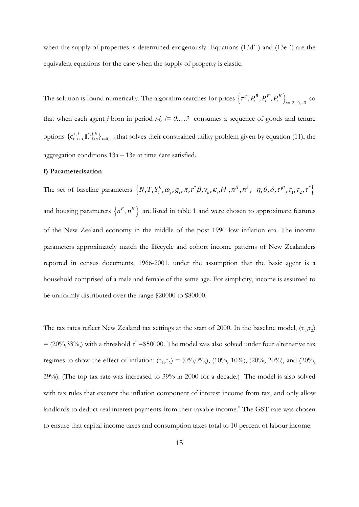when the supply of properties is determined exogenously. Equations (13d΄΄) and (13e΄΄) are the equivalent equations for the case when the supply of property is elastic.

The solution is found numerically. The algorithm searches for prices  $\{ \tau^s, P_t^R, P_t^F, P_t^H \}_{t=3,..0,...3}$  so that when each agent *j* born in period  $t-i$ ,  $i=0,...3$  consumes a sequence of goods and tenure options  $\{c_{t-i+s}^{s,j}, I_{t-i+s}^{s,j,h}\}_{s=0,\dots,3}$  that solves their constrained utility problem given by equation (11), the aggregation conditions 13a – 13e at time *t* are satisfied.

#### **f) Parameterisation**

The set of baseline parameters  $\left\{ N,T,Y_{t}^{0},\omega_{j},g_{i},\pi,r^{*}\beta,\nu_{h},\kappa_{i},H$  ,  $n^{H}$  ,  $n^{F},$   $\;\eta,\theta,\delta,\tau^{g^{*}},\tau_{1},\tau_{2},\tau^{*}\right\}$ and housing parameters  $\{n^F, n^H\}$  are listed in table 1 and were chosen to approximate features of the New Zealand economy in the middle of the post 1990 low inflation era. The income parameters approximately match the lifecycle and cohort income patterns of New Zealanders reported in census documents, 1966-2001, under the assumption that the basic agent is a household comprised of a male and female of the same age. For simplicity, income is assumed to be uniformly distributed over the range \$20000 to \$80000.

The tax rates reflect New Zealand tax settings at the start of 2000. In the baseline model,  $(\tau_1, \tau_2)$  $=$  (20%,33%), with a threshold  $\tau^*$  =\$50000. The model was also solved under four alternative tax regimes to show the effect of inflation:  $(\tau_1, \tau_2) = (0\%, 0\%, 10\%, 10\%, 10\%, 20\%, 20\%,$  and (20%, 39%). (The top tax rate was increased to 39% in 2000 for a decade.) The model is also solved with tax rules that exempt the inflation component of interest income from tax, and only allow landlords to deduct real interest payments from their taxable income.<sup>[8](#page-36-6)</sup> The GST rate was chosen to ensure that capital income taxes and consumption taxes total to 10 percent of labour income.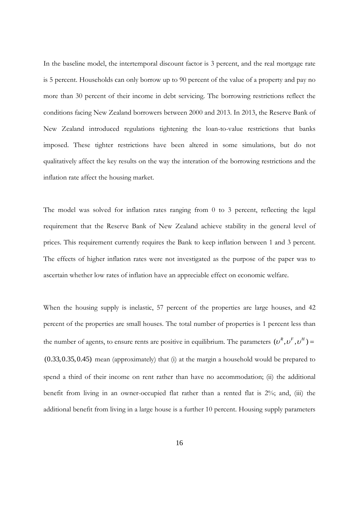In the baseline model, the intertemporal discount factor is 3 percent, and the real mortgage rate is 5 percent. Households can only borrow up to 90 percent of the value of a property and pay no more than 30 percent of their income in debt servicing. The borrowing restrictions reflect the conditions facing New Zealand borrowers between 2000 and 2013. In 2013, the Reserve Bank of New Zealand introduced regulations tightening the loan-to-value restrictions that banks imposed. These tighter restrictions have been altered in some simulations, but do not qualitatively affect the key results on the way the interation of the borrowing restrictions and the inflation rate affect the housing market.

The model was solved for inflation rates ranging from 0 to 3 percent, reflecting the legal requirement that the Reserve Bank of New Zealand achieve stability in the general level of prices. This requirement currently requires the Bank to keep inflation between 1 and 3 percent. The effects of higher inflation rates were not investigated as the purpose of the paper was to ascertain whether low rates of inflation have an appreciable effect on economic welfare.

When the housing supply is inelastic, 57 percent of the properties are large houses, and 42 percent of the properties are small houses. The total number of properties is 1 percent less than the number of agents, to ensure rents are positive in equilibrium. The parameters  $(v^R, v^F, v^H)$  = (0.33,0.35,0.45) mean (approximately) that (i) at the margin a household would be prepared to spend a third of their income on rent rather than have no accommodation; (ii) the additional benefit from living in an owner-occupied flat rather than a rented flat is 2%; and, (iii) the additional benefit from living in a large house is a further 10 percent. Housing supply parameters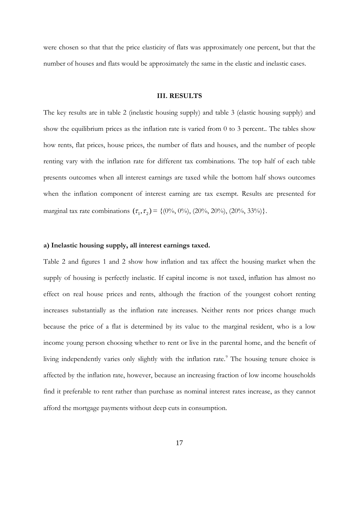were chosen so that that the price elasticity of flats was approximately one percent, but that the number of houses and flats would be approximately the same in the elastic and inelastic cases.

#### **III. RESULTS**

The key results are in table 2 (inelastic housing supply) and table 3 (elastic housing supply) and show the equilibrium prices as the inflation rate is varied from 0 to 3 percent.. The tables show how rents, flat prices, house prices, the number of flats and houses, and the number of people renting vary with the inflation rate for different tax combinations. The top half of each table presents outcomes when all interest earnings are taxed while the bottom half shows outcomes when the inflation component of interest earning are tax exempt. Results are presented for marginal tax rate combinations  $(\tau_1, \tau_2) = \{(0\%, 0\%), (20\%, 20\%), (20\%, 33\%)\}.$ 

#### **a) Inelastic housing supply, all interest earnings taxed.**

Table 2 and figures 1 and 2 show how inflation and tax affect the housing market when the supply of housing is perfectly inelastic. If capital income is not taxed, inflation has almost no effect on real house prices and rents, although the fraction of the youngest cohort renting increases substantially as the inflation rate increases. Neither rents nor prices change much because the price of a flat is determined by its value to the marginal resident, who is a low income young person choosing whether to rent or live in the parental home, and the benefit of living independently varies only slightly with the inflation rate.<sup>9</sup> The housing tenure choice is affected by the inflation rate, however, because an increasing fraction of low income households find it preferable to rent rather than purchase as nominal interest rates increase, as they cannot afford the mortgage payments without deep cuts in consumption.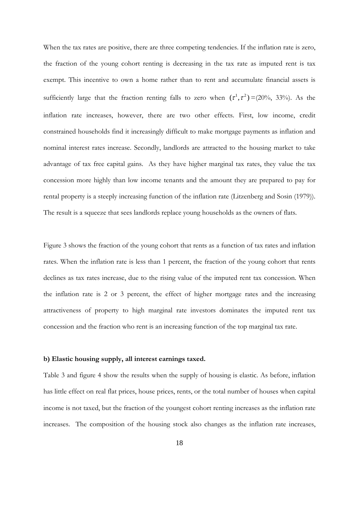When the tax rates are positive, there are three competing tendencies. If the inflation rate is zero, the fraction of the young cohort renting is decreasing in the tax rate as imputed rent is tax exempt. This incentive to own a home rather than to rent and accumulate financial assets is sufficiently large that the fraction renting falls to zero when  $(\tau^1, \tau^2) = (20\%, 33\%)$ . As the inflation rate increases, however, there are two other effects. First, low income, credit constrained households find it increasingly difficult to make mortgage payments as inflation and nominal interest rates increase. Secondly, landlords are attracted to the housing market to take advantage of tax free capital gains. As they have higher marginal tax rates, they value the tax concession more highly than low income tenants and the amount they are prepared to pay for rental property is a steeply increasing function of the inflation rate (Litzenberg and Sosin (1979)). The result is a squeeze that sees landlords replace young households as the owners of flats.

Figure 3 shows the fraction of the young cohort that rents as a function of tax rates and inflation rates. When the inflation rate is less than 1 percent, the fraction of the young cohort that rents declines as tax rates increase, due to the rising value of the imputed rent tax concession. When the inflation rate is 2 or 3 percent, the effect of higher mortgage rates and the increasing attractiveness of property to high marginal rate investors dominates the imputed rent tax concession and the fraction who rent is an increasing function of the top marginal tax rate.

#### **b) Elastic housing supply, all interest earnings taxed.**

Table 3 and figure 4 show the results when the supply of housing is elastic. As before, inflation has little effect on real flat prices, house prices, rents, or the total number of houses when capital income is not taxed, but the fraction of the youngest cohort renting increases as the inflation rate increases. The composition of the housing stock also changes as the inflation rate increases,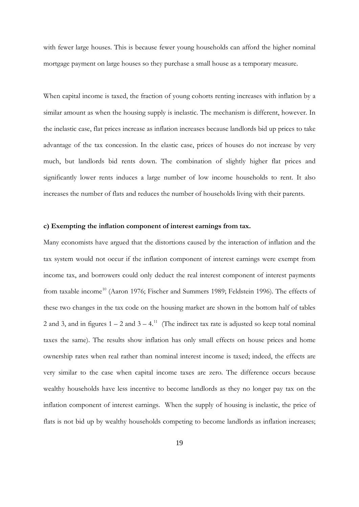with fewer large houses. This is because fewer young households can afford the higher nominal mortgage payment on large houses so they purchase a small house as a temporary measure.

When capital income is taxed, the fraction of young cohorts renting increases with inflation by a similar amount as when the housing supply is inelastic. The mechanism is different, however. In the inelastic case, flat prices increase as inflation increases because landlords bid up prices to take advantage of the tax concession. In the elastic case, prices of houses do not increase by very much, but landlords bid rents down. The combination of slightly higher flat prices and significantly lower rents induces a large number of low income households to rent. It also increases the number of flats and reduces the number of households living with their parents.

#### **c) Exempting the inflation component of interest earnings from tax.**

Many economists have argued that the distortions caused by the interaction of inflation and the tax system would not occur if the inflation component of interest earnings were exempt from income tax, and borrowers could only deduct the real interest component of interest payments from taxable income<sup>[10](#page-36-8)</sup> (Aaron 1976; Fischer and Summers 1989; Feldstein 1996). The effects of these two changes in the tax code on the housing market are shown in the bottom half of tables 2 and 3, and in figures  $1 - 2$  and  $3 - 4$ .<sup>[11](#page-36-9)</sup> (The indirect tax rate is adjusted so keep total nominal taxes the same). The results show inflation has only small effects on house prices and home ownership rates when real rather than nominal interest income is taxed; indeed, the effects are very similar to the case when capital income taxes are zero. The difference occurs because wealthy households have less incentive to become landlords as they no longer pay tax on the inflation component of interest earnings. When the supply of housing is inelastic, the price of flats is not bid up by wealthy households competing to become landlords as inflation increases;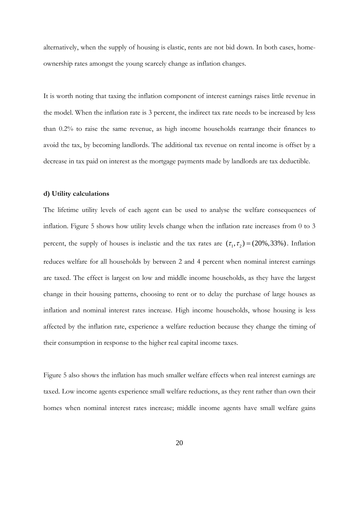alternatively, when the supply of housing is elastic, rents are not bid down. In both cases, homeownership rates amongst the young scarcely change as inflation changes.

It is worth noting that taxing the inflation component of interest earnings raises little revenue in the model. When the inflation rate is 3 percent, the indirect tax rate needs to be increased by less than 0.2% to raise the same revenue, as high income households rearrange their finances to avoid the tax, by becoming landlords. The additional tax revenue on rental income is offset by a decrease in tax paid on interest as the mortgage payments made by landlords are tax deductible.

#### **d) Utility calculations**

The lifetime utility levels of each agent can be used to analyse the welfare consequences of inflation. Figure 5 shows how utility levels change when the inflation rate increases from 0 to 3 percent, the supply of houses is inelastic and the tax rates are  $(\tau_1, \tau_2) = (20\%, 33\%)$ . Inflation reduces welfare for all households by between 2 and 4 percent when nominal interest earnings are taxed. The effect is largest on low and middle income households, as they have the largest change in their housing patterns, choosing to rent or to delay the purchase of large houses as inflation and nominal interest rates increase. High income households, whose housing is less affected by the inflation rate, experience a welfare reduction because they change the timing of their consumption in response to the higher real capital income taxes.

Figure 5 also shows the inflation has much smaller welfare effects when real interest earnings are taxed. Low income agents experience small welfare reductions, as they rent rather than own their homes when nominal interest rates increase; middle income agents have small welfare gains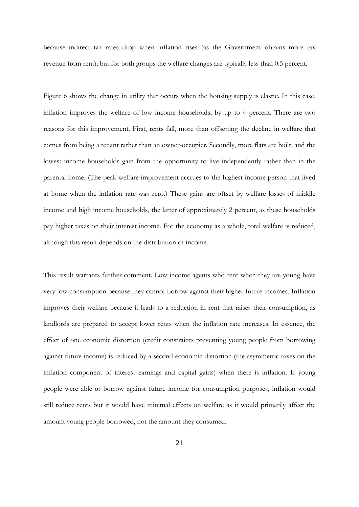because indirect tax rates drop when inflation rises (as the Government obtains more tax revenue from rent); but for both groups the welfare changes are typically less than 0.5 percent.

Figure 6 shows the change in utility that occurs when the housing supply is elastic. In this case, inflation improves the welfare of low income households, by up to 4 percent. There are two reasons for this improvement. First, rents fall, more than offsetting the decline in welfare that comes from being a tenant rather than an owner-occupier. Secondly, more flats are built, and the lowest income households gain from the opportunity to live independently rather than in the parental home. (The peak welfare improvement accrues to the highest income person that lived at home when the inflation rate was zero.) These gains are offset by welfare losses of middle income and high income households, the latter of approximately 2 percent, as these households pay higher taxes on their interest income. For the economy as a whole, total welfare is reduced, although this result depends on the distribution of income.

This result warrants further comment. Low income agents who rent when they are young have very low consumption because they cannot borrow against their higher future incomes. Inflation improves their welfare because it leads to a reduction in rent that raises their consumption, as landlords are prepared to accept lower rents when the inflation rate increases. In essence, the effect of one economic distortion (credit constraints preventing young people from borrowing against future income) is reduced by a second economic distortion (the asymmetric taxes on the inflation component of interest earnings and capital gains) when there is inflation. If young people were able to borrow against future income for consumption purposes, inflation would still reduce rents but it would have minimal effects on welfare as it would primarily affect the amount young people borrowed, not the amount they consumed.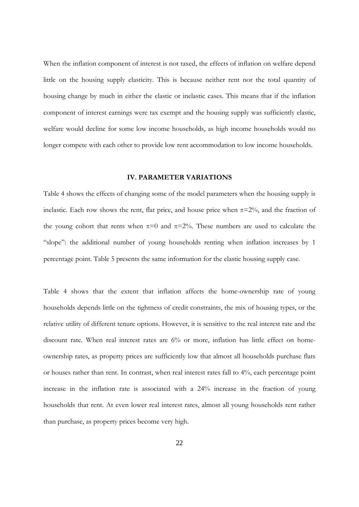When the inflation component of interest is not taxed, the effects of inflation on welfare depend little on the housing supply elasticity. This is because neither rent nor the total quantity of housing change by much in either the elastic or inelastic cases. This means that if the inflation component of interest earnings were tax exempt and the housing supply was sufficiently elastic, welfare would decline for some low income households, as high income households would no longer compete with each other to provide low rent accommodation to low income households.

#### **IV. PARAMETER VARIATIONS**

Table 4 shows the effects of changing some of the model parameters when the housing supply is inelastic. Each row shows the rent, flat price, and house price when  $\pi=2\%$ , and the fraction of the young cohort that rents when  $\pi=0$  and  $\pi=2\%$ . These numbers are used to calculate the "slope": the additional number of young households renting when inflation increases by 1 percentage point. Table 5 presents the same information for the elastic housing supply case.

Table 4 shows that the extent that inflation affects the home-ownership rate of young households depends little on the tightness of credit constraints, the mix of housing types, or the relative utility of different tenure options. However, it is sensitive to the real interest rate and the discount rate. When real interest rates are 6% or more, inflation has little effect on homeownership rates, as property prices are sufficiently low that almost all households purchase flats or houses rather than rent. In contrast, when real interest rates fall to 4%, each percentage point increase in the inflation rate is associated with a 24% increase in the fraction of young households that rent. At even lower real interest rates, almost all young households rent rather than purchase, as property prices become very high.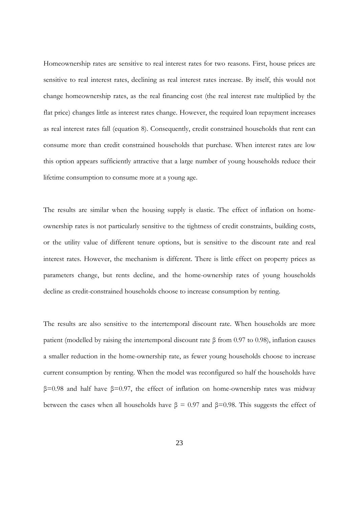Homeownership rates are sensitive to real interest rates for two reasons. First, house prices are sensitive to real interest rates, declining as real interest rates increase. By itself, this would not change homeownership rates, as the real financing cost (the real interest rate multiplied by the flat price) changes little as interest rates change. However, the required loan repayment increases as real interest rates fall (equation 8). Consequently, credit constrained households that rent can consume more than credit constrained households that purchase. When interest rates are low this option appears sufficiently attractive that a large number of young households reduce their lifetime consumption to consume more at a young age.

The results are similar when the housing supply is elastic. The effect of inflation on homeownership rates is not particularly sensitive to the tightness of credit constraints, building costs, or the utility value of different tenure options, but is sensitive to the discount rate and real interest rates. However, the mechanism is different. There is little effect on property prices as parameters change, but rents decline, and the home-ownership rates of young households decline as credit-constrained households choose to increase consumption by renting.

The results are also sensitive to the intertemporal discount rate. When households are more patient (modelled by raising the intertemporal discount rate β from 0.97 to 0.98), inflation causes a smaller reduction in the home-ownership rate, as fewer young households choose to increase current consumption by renting. When the model was reconfigured so half the households have  $β=0.98$  and half have  $β=0.97$ , the effect of inflation on home-ownership rates was midway between the cases when all households have  $\beta = 0.97$  and  $\beta = 0.98$ . This suggests the effect of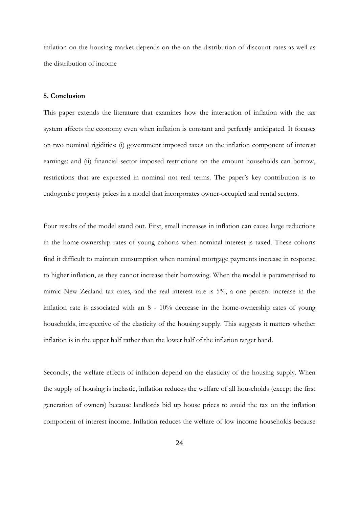inflation on the housing market depends on the on the distribution of discount rates as well as the distribution of income

#### **5. Conclusion**

This paper extends the literature that examines how the interaction of inflation with the tax system affects the economy even when inflation is constant and perfectly anticipated. It focuses on two nominal rigidities: (i) government imposed taxes on the inflation component of interest earnings; and (ii) financial sector imposed restrictions on the amount households can borrow, restrictions that are expressed in nominal not real terms. The paper's key contribution is to endogenise property prices in a model that incorporates owner-occupied and rental sectors.

Four results of the model stand out. First, small increases in inflation can cause large reductions in the home-ownership rates of young cohorts when nominal interest is taxed. These cohorts find it difficult to maintain consumption when nominal mortgage payments increase in response to higher inflation, as they cannot increase their borrowing. When the model is parameterised to mimic New Zealand tax rates, and the real interest rate is 5%, a one percent increase in the inflation rate is associated with an 8 - 10% decrease in the home-ownership rates of young households, irrespective of the elasticity of the housing supply. This suggests it matters whether inflation is in the upper half rather than the lower half of the inflation target band.

Secondly, the welfare effects of inflation depend on the elasticity of the housing supply. When the supply of housing is inelastic, inflation reduces the welfare of all households (except the first generation of owners) because landlords bid up house prices to avoid the tax on the inflation component of interest income. Inflation reduces the welfare of low income households because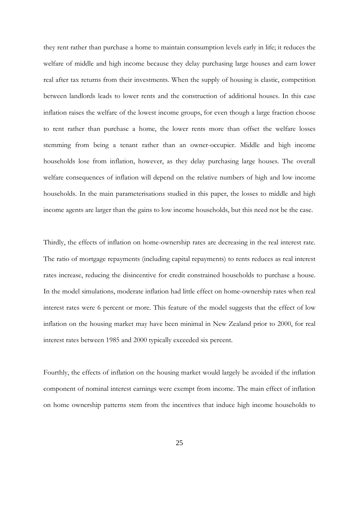they rent rather than purchase a home to maintain consumption levels early in life; it reduces the welfare of middle and high income because they delay purchasing large houses and earn lower real after tax returns from their investments. When the supply of housing is elastic, competition between landlords leads to lower rents and the construction of additional houses. In this case inflation raises the welfare of the lowest income groups, for even though a large fraction choose to rent rather than purchase a home, the lower rents more than offset the welfare losses stemming from being a tenant rather than an owner-occupier. Middle and high income households lose from inflation, however, as they delay purchasing large houses. The overall welfare consequences of inflation will depend on the relative numbers of high and low income households. In the main parameterisations studied in this paper, the losses to middle and high income agents are larger than the gains to low income households, but this need not be the case.

Thirdly, the effects of inflation on home-ownership rates are decreasing in the real interest rate. The ratio of mortgage repayments (including capital repayments) to rents reduces as real interest rates increase, reducing the disincentive for credit constrained households to purchase a house. In the model simulations, moderate inflation had little effect on home-ownership rates when real interest rates were 6 percent or more. This feature of the model suggests that the effect of low inflation on the housing market may have been minimal in New Zealand prior to 2000, for real interest rates between 1985 and 2000 typically exceeded six percent.

Fourthly, the effects of inflation on the housing market would largely be avoided if the inflation component of nominal interest earnings were exempt from income. The main effect of inflation on home ownership patterns stem from the incentives that induce high income households to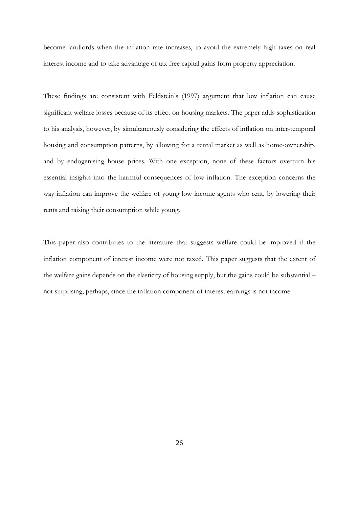become landlords when the inflation rate increases, to avoid the extremely high taxes on real interest income and to take advantage of tax free capital gains from property appreciation.

These findings are consistent with Feldstein's (1997) argument that low inflation can cause significant welfare losses because of its effect on housing markets. The paper adds sophistication to his analysis, however, by simultaneously considering the effects of inflation on inter-temporal housing and consumption patterns, by allowing for a rental market as well as home-ownership, and by endogenising house prices. With one exception, none of these factors overturn his essential insights into the harmful consequences of low inflation. The exception concerns the way inflation can improve the welfare of young low income agents who rent, by lowering their rents and raising their consumption while young.

This paper also contributes to the literature that suggests welfare could be improved if the inflation component of interest income were not taxed. This paper suggests that the extent of the welfare gains depends on the elasticity of housing supply, but the gains could be substantial – not surprising, perhaps, since the inflation component of interest earnings is not income.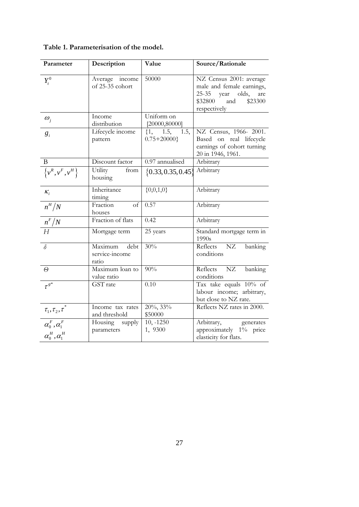| Parameter                                                                | Description                                | Value                                 | Source/Rationale                                                                                                             |  |  |  |
|--------------------------------------------------------------------------|--------------------------------------------|---------------------------------------|------------------------------------------------------------------------------------------------------------------------------|--|--|--|
| $Y_t^0$                                                                  | Average income<br>of 25-35 cohort          | 50000                                 | NZ Census 2001: average<br>male and female earnings,<br>25-35 year olds,<br>are<br>\$32800<br>and<br>\$23300<br>respectively |  |  |  |
| $\omega_i$                                                               | Income<br>distribution                     | Uniform on<br>[20000, 80000]          |                                                                                                                              |  |  |  |
| $g_i$                                                                    | Lifecycle income<br>pattern                | $\{1, 1.5,$<br>1.5,<br>$0.75 + 20000$ | NZ Census, 1966-2001.<br>Based on real lifecycle<br>earnings of cohort turning<br>20 in 1946, 1961.                          |  |  |  |
| $\, {\bf B}$                                                             | Discount factor                            | 0.97 annualised                       | Arbitrary                                                                                                                    |  |  |  |
| $\left\{v^R, v^F, v^H\right\}$                                           | Utility<br>from<br>housing                 | $\{0.33, 0.35, 0.45\}$                | Arbitrary                                                                                                                    |  |  |  |
| $K_i$                                                                    | Inheritance<br>timing                      | ${0,0,1,0}$                           | Arbitrary                                                                                                                    |  |  |  |
| $n^H/N$                                                                  | Fraction<br>$\sigma$<br>houses             | 0.57                                  | Arbitrary                                                                                                                    |  |  |  |
| $\frac{n^F/N}{H}$                                                        | Fraction of flats                          | 0.42                                  | Arbitrary                                                                                                                    |  |  |  |
|                                                                          | Mortgage term                              | 25 years                              | Standard mortgage term in<br>1990s                                                                                           |  |  |  |
| $\delta$                                                                 | Maximum<br>debt<br>service-income<br>ratio | 30%                                   | Reflects<br>NZ<br>banking<br>conditions                                                                                      |  |  |  |
| $\Theta$                                                                 | Maximum loan to<br>value ratio             | 90%                                   | Reflects NZ<br>banking<br>conditions                                                                                         |  |  |  |
| $\tau^{g*}$                                                              | GST rate                                   | 0.10                                  | Tax take equals 10% of<br>labour income; arbitrary,<br>but close to NZ rate.                                                 |  |  |  |
| $\tau_{\scriptscriptstyle 1}^{}, \tau_{\scriptscriptstyle 2}^{}, \tau^*$ | Income tax rates<br>and threshold          | 20%, 33%<br>\$50000                   | Reflects NZ rates in 2000.                                                                                                   |  |  |  |
| $\alpha_0^F, \alpha_1^F$<br>$\alpha_0^H, \alpha_1^H$                     | Housing supply<br>parameters               | $10, -1250$<br>1, 9300                | Arbitrary,<br>generates<br>approximately 1% price<br>elasticity for flats.                                                   |  |  |  |

**Table 1. Parameterisation of the model.**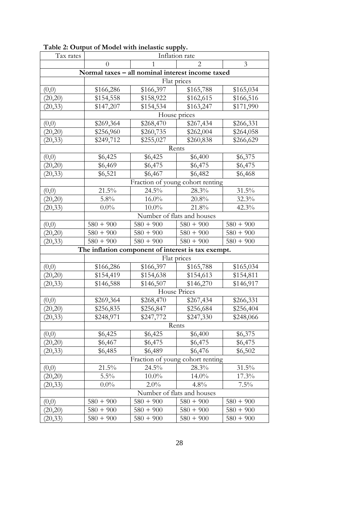| Tax rates                                          | Inflation rate |                                  |                                  |                |  |  |  |  |
|----------------------------------------------------|----------------|----------------------------------|----------------------------------|----------------|--|--|--|--|
|                                                    | $\theta$       | 1                                | $\mathcal{D}_{\mathcal{L}}$      | $\overline{3}$ |  |  |  |  |
| Normal taxes - all nominal interest income taxed   |                |                                  |                                  |                |  |  |  |  |
|                                                    |                |                                  | Flat prices                      |                |  |  |  |  |
| (0,0)                                              | \$166,286      | \$166,397                        | \$165,788                        | \$165,034      |  |  |  |  |
| (20, 20)                                           | \$154,558      | \$158,922                        | \$162,615                        | \$166,516      |  |  |  |  |
| (20, 33)                                           | \$147,207      | \$154,534                        | \$163,247                        | \$171,990      |  |  |  |  |
|                                                    | House prices   |                                  |                                  |                |  |  |  |  |
| (0,0)                                              | \$269,364      | \$268,470                        | \$267,434                        | \$266,331      |  |  |  |  |
| (20,20)                                            | \$256,960      | \$260,735                        | \$262,004                        | \$264,058      |  |  |  |  |
| (20, 33)                                           | \$249,712      | \$255,027                        | \$260,838                        | \$266,629      |  |  |  |  |
|                                                    |                |                                  | Rents                            |                |  |  |  |  |
| (0,0)                                              | \$6,425        | \$6,425                          | \$6,400                          | \$6,375        |  |  |  |  |
| (20,20)                                            | \$6,469        | \$6,475                          | \$6,475                          | \$6,475        |  |  |  |  |
| (20, 33)                                           | \$6,521        | \$6,467                          | \$6,482                          | \$6,468        |  |  |  |  |
|                                                    |                |                                  | Fraction of young cohort renting |                |  |  |  |  |
| (0,0)                                              | 21.5%          | 24.5%                            | 28.3%                            | $31.5\%$       |  |  |  |  |
| (20, 20)                                           | 5.8%           | $16.0\%$                         | 20.8%                            | 32.3%          |  |  |  |  |
| (20, 33)                                           | $0.0\%$        | $10.0\%$                         | 21.8%                            | 42.3%          |  |  |  |  |
|                                                    |                |                                  | Number of flats and houses       |                |  |  |  |  |
| (0,0)                                              | $580 + 900$    | $580 + 900$                      | $580 + 900$                      | $580 + 900$    |  |  |  |  |
| (20,20)                                            | $580 + 900$    | $580 + 900$                      | $580 + 900$                      | $580 + 900$    |  |  |  |  |
| (20, 33)                                           | $580 + 900$    | $580 + 900$                      | $580 + 900$                      | $580 + 900$    |  |  |  |  |
| The inflation component of interest is tax exempt. |                |                                  |                                  |                |  |  |  |  |
|                                                    |                |                                  | Flat prices                      |                |  |  |  |  |
| (0,0)                                              | \$166,286      | \$166,397                        | \$165,788                        | \$165,034      |  |  |  |  |
| (20,20)                                            | \$154,419      | \$154,638                        | \$154,613                        | \$154,811      |  |  |  |  |
| (20,33)                                            | \$146,588      | \$146,507                        | \$146,270                        | \$146,917      |  |  |  |  |
|                                                    |                |                                  | House Prices                     |                |  |  |  |  |
| (0,0)                                              | \$269,364      | \$268,470                        | \$267,434                        | \$266,331      |  |  |  |  |
| (20,20)                                            | \$256,835      | \$256,847                        | \$256,684                        | \$256,404      |  |  |  |  |
| (20, 33)                                           | \$248,971      | \$247,772                        | \$247,330<br>\$248,066           |                |  |  |  |  |
|                                                    |                |                                  | Rents                            |                |  |  |  |  |
| (0,0)                                              | \$6,425        | \$6,425                          | \$6,400                          | \$6,375        |  |  |  |  |
| (20,20)                                            | \$6,467        | \$6,475                          | \$6,475                          | \$6,475        |  |  |  |  |
| (20, 33)                                           | \$6,485        | \$6,489<br>\$6,476               |                                  | \$6,502        |  |  |  |  |
|                                                    |                | Fraction of young cohort renting |                                  |                |  |  |  |  |
| (0,0)                                              | 21.5%          | 24.5%                            | 28.3%                            | 31.5%          |  |  |  |  |
| (20,20)                                            | 5.5%           | $10.0\%$                         | 14.0%                            | 17.3%          |  |  |  |  |
| (20, 33)                                           | $0.0\%$        | 2.0%<br>4.8%                     |                                  | 7.5%           |  |  |  |  |
|                                                    |                |                                  | Number of flats and houses       |                |  |  |  |  |
| (0,0)                                              | $580 + 900$    | $580 + 900$                      | $580 + 900$                      | $580 + 900$    |  |  |  |  |
| (20,20)                                            | $580 + 900$    | $580 + 900$                      | $580 + 900$                      | $580 + 900$    |  |  |  |  |
| (20, 33)                                           | $580 + 900$    | $580 + 900$                      | $580 + 900$                      | $580 + 900$    |  |  |  |  |

## **Table 2: Output of Model with inelastic supply.**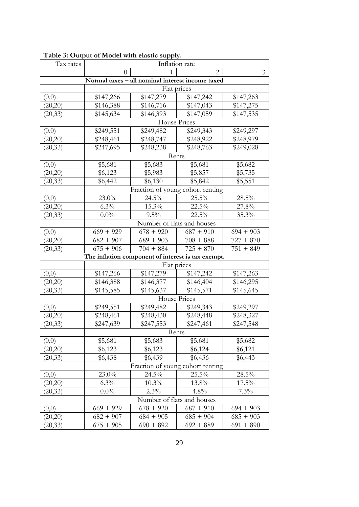| Tax rates | Inflation rate                                     |                                  |                            |             |  |  |  |  |
|-----------|----------------------------------------------------|----------------------------------|----------------------------|-------------|--|--|--|--|
|           | 2<br>0                                             |                                  |                            |             |  |  |  |  |
|           | Normal taxes - all nominal interest income taxed   |                                  |                            |             |  |  |  |  |
|           | Flat prices                                        |                                  |                            |             |  |  |  |  |
| (0,0)     | \$147,266                                          | \$147,279                        | \$147,242                  | \$147,263   |  |  |  |  |
| (20,20)   | \$146,388                                          | \$146,716                        | \$147,043                  | \$147,275   |  |  |  |  |
| (20,33)   | \$145,634                                          | \$146,393                        | \$147,059                  | \$147,535   |  |  |  |  |
|           |                                                    |                                  | House Prices               |             |  |  |  |  |
| (0,0)     | \$249,551                                          | \$249,482                        | \$249,343                  | \$249,297   |  |  |  |  |
| (20,20)   | \$248,461                                          | \$248,747                        | \$248,922                  | \$248,979   |  |  |  |  |
| (20, 33)  | \$247,695<br>\$248,238                             |                                  | \$248,763                  | \$249,028   |  |  |  |  |
|           | Rents                                              |                                  |                            |             |  |  |  |  |
| (0,0)     | \$5,681                                            | \$5,683                          | \$5,681                    | \$5,682     |  |  |  |  |
| (20,20)   | \$6,123                                            | \$5,983                          | \$5,857                    | \$5,735     |  |  |  |  |
| (20, 33)  | \$6,442                                            | \$6,130                          | \$5,842                    | \$5,551     |  |  |  |  |
|           |                                                    | Fraction of young cohort renting |                            |             |  |  |  |  |
| (0,0)     | 23.0%                                              | 24.5%                            | 25.5%                      | 28.5%       |  |  |  |  |
| (20,20)   | 6.3%                                               | 15.3%                            | $22.\overline{5\%}$        | 27.8%       |  |  |  |  |
| (20,33)   | $0.0\%$                                            | 9.5%                             | 22.5%                      | 35.3%       |  |  |  |  |
|           |                                                    |                                  | Number of flats and houses |             |  |  |  |  |
| (0,0)     | $669 + 929$                                        | $678 + 920$                      | $687 + 910$                | $694 + 903$ |  |  |  |  |
| (20,20)   | $682 + 907$                                        | $689 + 903$                      | $708 + 888$                | $727 + 870$ |  |  |  |  |
| (20, 33)  | $675 + 906$                                        | $704 + 884$                      | $725 + 870$                | $751 + 849$ |  |  |  |  |
|           | The inflation component of interest is tax exempt. |                                  |                            |             |  |  |  |  |
|           | Flat prices                                        |                                  |                            |             |  |  |  |  |
| (0,0)     | \$147,266                                          | \$147,279                        | \$147,242                  | \$147,263   |  |  |  |  |
| (20,20)   | \$146,388                                          | \$146,377                        | \$146,404                  | \$146,295   |  |  |  |  |
| (20, 33)  | \$145,585<br>\$145,637                             |                                  | \$145,571<br>\$145,645     |             |  |  |  |  |
|           | House Prices                                       |                                  |                            |             |  |  |  |  |
| (0,0)     | \$249,551                                          | \$249,482                        | \$249,343                  | \$249,297   |  |  |  |  |
| (20,20)   | \$248,461                                          | \$248,430                        | \$248,448                  | \$248,327   |  |  |  |  |
| (20, 33)  | \$247,639                                          | \$247,553                        | \$247,461<br>\$247,548     |             |  |  |  |  |
|           |                                                    |                                  | Rents                      |             |  |  |  |  |
| (0,0)     | \$5,681                                            | \$5,683                          | \$5,681                    | \$5,682     |  |  |  |  |
| (20,20)   | \$6,123                                            | \$6,123                          | \$6,124                    | \$6,121     |  |  |  |  |
| (20, 33)  | \$6,438                                            | \$6,439                          | \$6,436<br>\$6,443         |             |  |  |  |  |
|           |                                                    | Fraction of young cohort renting |                            |             |  |  |  |  |
| (0,0)     | 23.0%                                              | 24.5%                            | 25.5%                      | 28.5%       |  |  |  |  |
| (20,20)   | 6.3%                                               | $10.3\%$                         | 13.8%                      | 17.5%       |  |  |  |  |
| (20, 33)  | $0.0\%$                                            | 2.3%                             | 7.3%<br>4.8%               |             |  |  |  |  |
|           |                                                    |                                  | Number of flats and houses |             |  |  |  |  |
| (0,0)     | $669 + 929$                                        | $678 + 920$                      | $687 + 910$                | $694 + 903$ |  |  |  |  |
| (20,20)   | $682 + 907$                                        | $684 + 905$                      | $685 + 904$                | $685 + 903$ |  |  |  |  |
| (20, 33)  | $675 + 905$                                        | $690 + 892$                      | $692 + 889$                | $691 + 890$ |  |  |  |  |

### **Table 3: Output of Model with elastic supply.**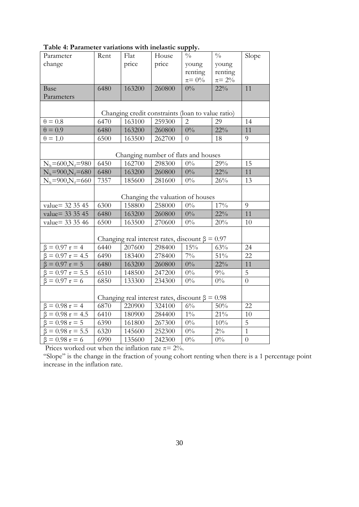| Parameter              | Rent                                                  | Flat                                              | House                            | $\frac{0}{0}$  | $\frac{0}{0}$ | Slope          |  |  |
|------------------------|-------------------------------------------------------|---------------------------------------------------|----------------------------------|----------------|---------------|----------------|--|--|
| change                 |                                                       | price                                             | price                            | young          | young         |                |  |  |
|                        |                                                       |                                                   |                                  | renting        | renting       |                |  |  |
|                        |                                                       |                                                   |                                  | $\pi = 0\%$    | $\pi = 2\%$   |                |  |  |
| Base                   | 6480                                                  | 163200                                            | 260800                           | $0\%$          | $22\%$        | 11             |  |  |
| Parameters             |                                                       |                                                   |                                  |                |               |                |  |  |
|                        |                                                       |                                                   |                                  |                |               |                |  |  |
|                        |                                                       | Changing credit constraints (loan to value ratio) |                                  |                |               |                |  |  |
| $\theta = 0.8$         | 6470                                                  | 163100                                            | 259300                           | $\overline{2}$ | 29            | 14             |  |  |
| $\theta = 0.9$         | 6480                                                  | 163200                                            | 260800                           | $0\%$          | $22\%$        | 11             |  |  |
| $\theta = 1.0$         | 6500                                                  | 163500                                            | 262700                           | $\overline{0}$ | 18            | 9              |  |  |
|                        |                                                       |                                                   |                                  |                |               |                |  |  |
|                        |                                                       | Changing number of flats and houses               |                                  |                |               |                |  |  |
| $N_h = 600, N_f = 980$ | 6450                                                  | 162700                                            | 298300                           | $0\%$          | 29%           | 15             |  |  |
| $N_h = 900, N_f = 680$ | 6480                                                  | 163200                                            | 260800                           | $0\%$          | $22\%$        | 11             |  |  |
| $N_h = 900, N_f = 660$ | 7357                                                  | 185600                                            | 281600                           | $0\%$          | 26%           | 13             |  |  |
|                        |                                                       |                                                   |                                  |                |               |                |  |  |
|                        |                                                       |                                                   | Changing the valuation of houses |                |               |                |  |  |
| value= 32 35 45        | 6300                                                  | 158800                                            | 258000                           | $0\%$          | 17%           | 9              |  |  |
| value= 33 35 45        | 6480                                                  | 163200                                            | 260800                           | $0\%$          | $22\%$        | 11             |  |  |
| value= 33 35 46        | 6500                                                  | 163500                                            | 270600                           | $0\%$          | 20%           | 10             |  |  |
|                        |                                                       |                                                   |                                  |                |               |                |  |  |
|                        | Changing real interest rates, discount $\beta = 0.97$ |                                                   |                                  |                |               |                |  |  |
| $\beta = 0.97$ r = 4   | 6440                                                  | 207600                                            | 298400                           | 15%            | 63%           | 24             |  |  |
| $\beta = 0.97$ r = 4.5 | 6490                                                  | 183400                                            | 278400                           | $7\%$          | 51%           | 22             |  |  |
| $\beta = 0.97$ r = 5   | 6480                                                  | 163200                                            | 260800                           | $0\%$          | 22%           | 11             |  |  |
| $\beta = 0.97$ r = 5.5 | 6510                                                  | 148500                                            | 247200                           | $0\%$          | $9\%$         | 5              |  |  |
| $\beta = 0.97$ r = 6   | 6850                                                  | 133300                                            | 234300                           | $0\%$          | $0\%$         | $\overline{0}$ |  |  |
|                        |                                                       |                                                   |                                  |                |               |                |  |  |
|                        | Changing real interest rates, discount $\beta = 0.98$ |                                                   |                                  |                |               |                |  |  |
| $\beta = 0.98$ r = 4   | 6870                                                  | 220900                                            | 324100                           | $6\%$          | 50%           | 22             |  |  |
| $\beta = 0.98$ r = 4.5 | 6410                                                  | 180900                                            | 284400                           | $1\%$          | $21\%$        | 10             |  |  |
| $\beta = 0.98$ r = 5   | 6390                                                  | 161800                                            | 267300                           | $0\%$          | 10%           | 5              |  |  |
| $\beta = 0.98$ r = 5.5 | 6320                                                  | 145600                                            | 252300                           | $0\%$          | $2\%$         | $\mathbf{1}$   |  |  |
| $β = 0.98$ r = 6       | 6990                                                  | 135600                                            | 242300                           | $0\%$          | $0\%$         | $\overline{0}$ |  |  |

**Table 4: Parameter variations with inelastic supply.** 

Prices worked out when the inflation rate  $\pi = 2\%$ .

"Slope" is the change in the fraction of young cohort renting when there is a 1 percentage point increase in the inflation rate.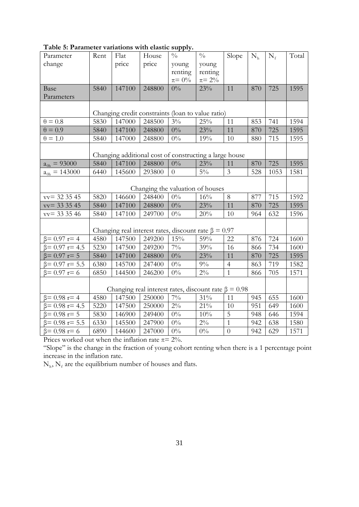| Parameter              | Rent                                                       | Flat                                                   | House                            | 11 J<br>$\frac{0}{0}$ | $\frac{0}{0}$ | Slope          | $N_{h}$ | $N_f$ | Total |
|------------------------|------------------------------------------------------------|--------------------------------------------------------|----------------------------------|-----------------------|---------------|----------------|---------|-------|-------|
| change                 |                                                            | price                                                  | price                            | young                 | young         |                |         |       |       |
|                        |                                                            |                                                        |                                  | renting               | renting       |                |         |       |       |
|                        |                                                            |                                                        |                                  | $\pi = 0\%$           | $\pi = 2\%$   |                |         |       |       |
| Base                   | 5840                                                       | 147100                                                 | 248800                           | $0\%$                 | 23%           | 11             | 870     | 725   | 1595  |
| Parameters             |                                                            |                                                        |                                  |                       |               |                |         |       |       |
|                        |                                                            |                                                        |                                  |                       |               |                |         |       |       |
|                        |                                                            | Changing credit constraints (loan to value ratio)      |                                  |                       |               |                |         |       |       |
| $\theta = 0.8$         | 5830                                                       | 147000                                                 | 248500                           | $3\%$                 | 25%           | 11             | 853     | 741   | 1594  |
| $\theta = 0.9$         | 5840                                                       | 147100                                                 | 248800                           | $0\%$                 | 23%           | 11             | 870     | 725   | 1595  |
| $\theta = 1.0$         | 5840                                                       | 147000                                                 | 248800                           | $0\%$                 | 19%           | 10             | 880     | 715   | 1595  |
|                        |                                                            |                                                        |                                  |                       |               |                |         |       |       |
|                        |                                                            | Changing additional cost of constructing a large house |                                  |                       |               |                |         |       |       |
| $a_{0h} = 93000$       | 5840                                                       | 147100                                                 | 248800                           | $0\%$                 | 23%           | 11             | 870     | 725   | 1595  |
| $a_{0h} = 143000$      | 6440                                                       | 145600                                                 | 293800                           | $\overline{0}$        | $5\%$         | $\mathfrak{Z}$ | 528     | 1053  | 1581  |
|                        |                                                            |                                                        |                                  |                       |               |                |         |       |       |
|                        |                                                            |                                                        | Changing the valuation of houses |                       |               |                |         |       |       |
| $vv = 323545$          | 5820                                                       | 146600                                                 | 248400                           | $0\%$                 | 16%           | 8              | 877     | 715   | 1592  |
| $vv = 333545$          | 5840                                                       | 147100                                                 | 248800                           | $0\%$                 | 23%           | 11             | 870     | 725   | 1595  |
| $vv = 333546$          | 5840                                                       | 147100                                                 | 249700                           | $0\%$                 | 20%           | 10             | 964     | 632   | 1596  |
|                        | Changing real interest rates, discount rate $\beta = 0.97$ |                                                        |                                  |                       |               |                |         |       |       |
| $\beta$ = 0.97 r= 4    | 4580                                                       | 147500                                                 | 249200                           | 15%                   | $59\%$        | 22             | 876     | 724   | 1600  |
| $\beta$ = 0.97 r = 4.5 | 5230                                                       | 147500                                                 | 249200                           | $7\%$                 | 39%           | 16             | 866     | 734   | 1600  |
| $\beta = 0.97$ r= 5    | 5840                                                       | 147100                                                 | 248800                           | $0\%$                 | 23%           | 11             | 870     | 725   | 1595  |
| $\beta$ = 0.97 r= 5.5  | 6380                                                       | 145700                                                 | 247400                           | $0\%$                 | $9\%$         | $\overline{4}$ | 863     | 719   | 1582  |
| $\beta$ = 0.97 r= 6    | 6850                                                       | 144500                                                 | 246200                           | $0\%$                 | $2\%$         | $\mathbf{1}$   | 866     | 705   | 1571  |
|                        |                                                            |                                                        |                                  |                       |               |                |         |       |       |
|                        | Changing real interest rates, discount rate $\beta = 0.98$ |                                                        |                                  |                       |               |                |         |       |       |
| $\beta$ = 0.98 r= 4    | 4580                                                       | 147500                                                 | 250000                           | $7\%$                 | 31%           | 11             | 945     | 655   | 1600  |
| $\beta$ = 0.98 r= 4.5  | 5220                                                       | 147500                                                 | 250000                           | $2\%$                 | $21\%$        | 10             | 951     | 649   | 1600  |
| $\beta$ = 0.98 r= 5    | 5830                                                       | 146900                                                 | 249400                           | $0\%$                 | 10%           | 5              | 948     | 646   | 1594  |
| $\beta$ = 0.98 r= 5.5  | 6330                                                       | 145500                                                 | 247900                           | $0\%$                 | $2\%$         | $\mathbf{1}$   | 942     | 638   | 1580  |
| $\beta$ = 0.98 r= 6    | 6890                                                       | 144600                                                 | 247000                           | $0\%$                 | $0\%$         | $\overline{0}$ | 942     | 629   | 1571  |

**Table 5: Parameter variations with elastic supply.** 

Prices worked out when the inflation rate  $\pi = 2\%$ .

"Slope" is the change in the fraction of young cohort renting when there is a 1 percentage point increase in the inflation rate.

 $N<sub>h</sub>, N<sub>f</sub>$  are the equilibrium number of houses and flats.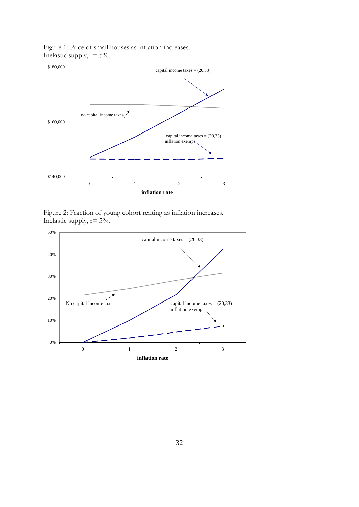Figure 1: Price of small houses as inflation increases. Inelastic supply,  $r = 5\%$ .



Figure 2: Fraction of young cohort renting as inflation increases. Inelastic supply,  $r = 5\%$ .

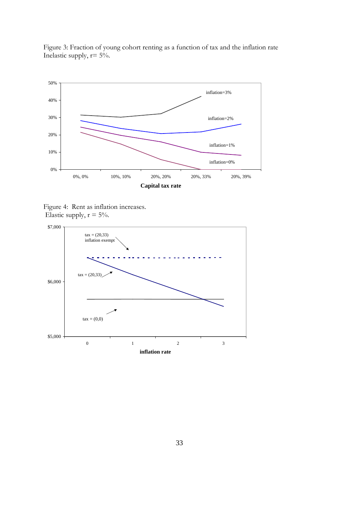

Figure 3: Fraction of young cohort renting as a function of tax and the inflation rate Inelastic supply,  $r = 5\%$ .

Figure 4: Rent as inflation increases. Elastic supply,  $r = 5\%$ .

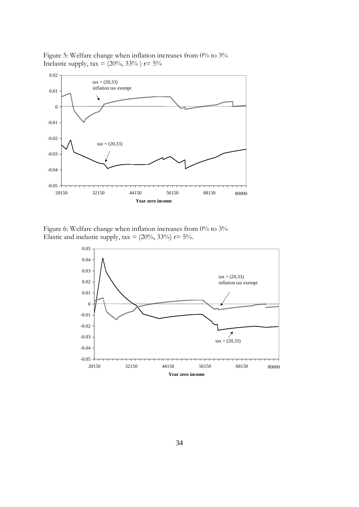Figure 5: Welfare change when inflation increases from 0% to 3% Inelastic supply,  $\tan = (20\%, 33\%)$  r= 5%



Figure 6: Welfare change when inflation increases from 0% to 3% Elastic and inelastic supply, tax =  $(20\%, 33\%)$  r= 5%.

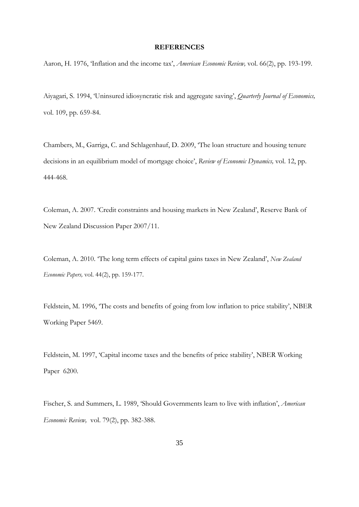#### **REFERENCES**

Aaron, H. 1976, 'Inflation and the income tax', *American Economic Review,* vol. 66(2), pp. 193-199.

Aiyagari, S. 1994, 'Uninsured idiosyncratic risk and aggregate saving', *Quarterly Journal of Economics,* vol. 109, pp. 659-84.

Chambers, M., Garriga, C. and Schlagenhauf, D. 2009, 'The loan structure and housing tenure decisions in an equilibrium model of mortgage choice', *Review of Economic Dynamics,* vol. 12, pp. 444-468.

Coleman, A. 2007. 'Credit constraints and housing markets in New Zealand', Reserve Bank of New Zealand Discussion Paper 2007/11.

Coleman, A. 2010. 'The long term effects of capital gains taxes in New Zealand', *New Zealand Economic Papers,* vol. 44(2), pp. 159-177.

Feldstein, M. 1996, 'The costs and benefits of going from low inflation to price stability', NBER Working Paper 5469.

Feldstein, M. 1997, 'Capital income taxes and the benefits of price stability', NBER Working Paper 6200.

Fischer, S. and Summers, L. 1989, 'Should Governments learn to live with inflation', *American Economic Review,* vol. 79(2), pp. 382-388.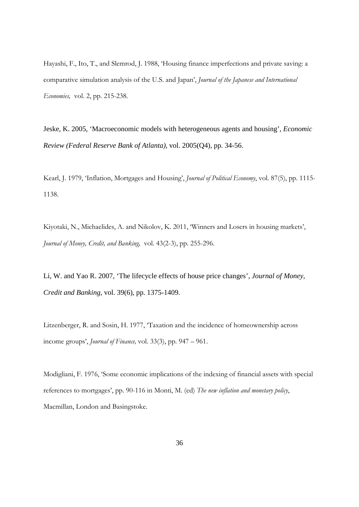Hayashi, F., Ito, T., and Slemrod, J. 1988, 'Housing finance imperfections and private saving: a comparative simulation analysis of the U.S. and Japan', *Journal of the Japanese and International Economies,* vol. 2, pp. 215-238.

Jeske, K. 2005, 'Macroeconomic models with heterogeneous agents and housing', *Economic Review (Federal Reserve Bank of Atlanta),* vol. 2005(Q4), pp. 34-56.

Kearl, J. 1979, 'Inflation, Mortgages and Housing', *Journal of Political Economy*, vol. 87(5), pp. 1115- 1138.

Kiyotaki, N., Michaelides, A. and Nikolov, K. 2011, 'Winners and Losers in housing markets', *Journal of Money, Credit, and Banking,* vol. 43(2-3), pp. 255-296.

<span id="page-35-0"></span>Li, W. and Yao R. 2007, 'The lifecycle effects of house price changes', *Journal of Money, Credit and Banking,* vol. 39(6), pp. 1375-1409.

Litzenberger, R. and Sosin, H. 1977, 'Taxation and the incidence of homeownership across income groups', *Journal of Finance,* vol. 33(3), pp. 947 – 961.

Modigliani, F. 1976, 'Some economic implications of the indexing of financial assets with special references to mortgages', pp. 90-116 in Monti, M. (ed) *The new inflation and monetary policy*, Macmillan, London and Basingstoke.